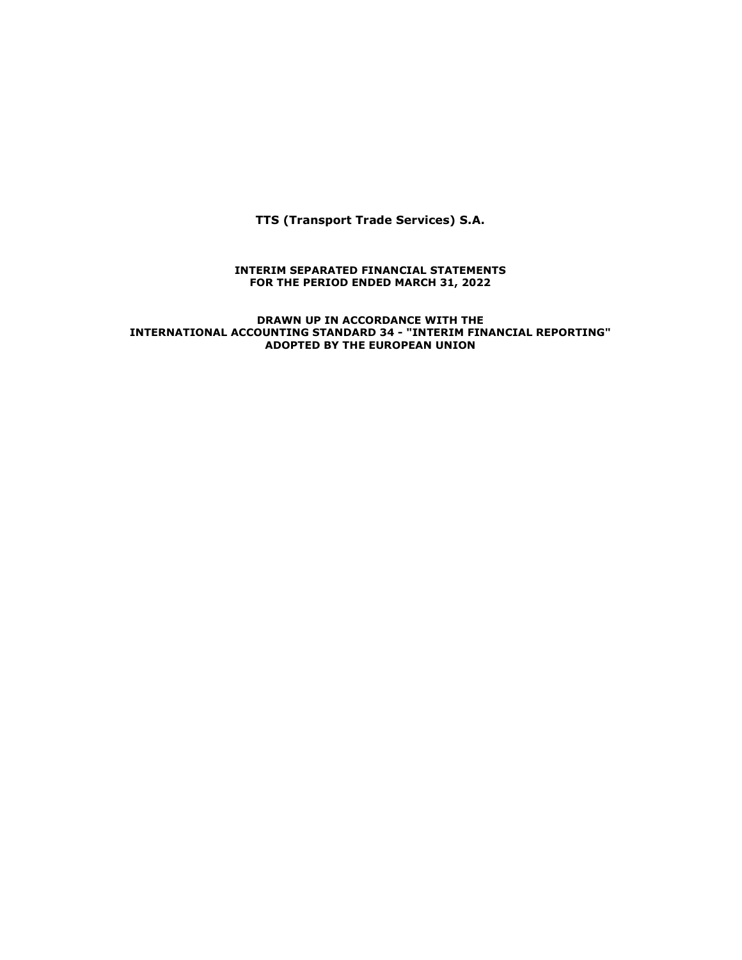**TTS (Transport Trade Services) S.A.** 

## **INTERIM SEPARATED FINANCIAL STATEMENTS FOR THE PERIOD ENDED MARCH 31, 2022**

**DRAWN UP IN ACCORDANCE WITH THE INTERNATIONAL ACCOUNTING STANDARD 34 - "INTERIM FINANCIAL REPORTING" ADOPTED BY THE EUROPEAN UNION**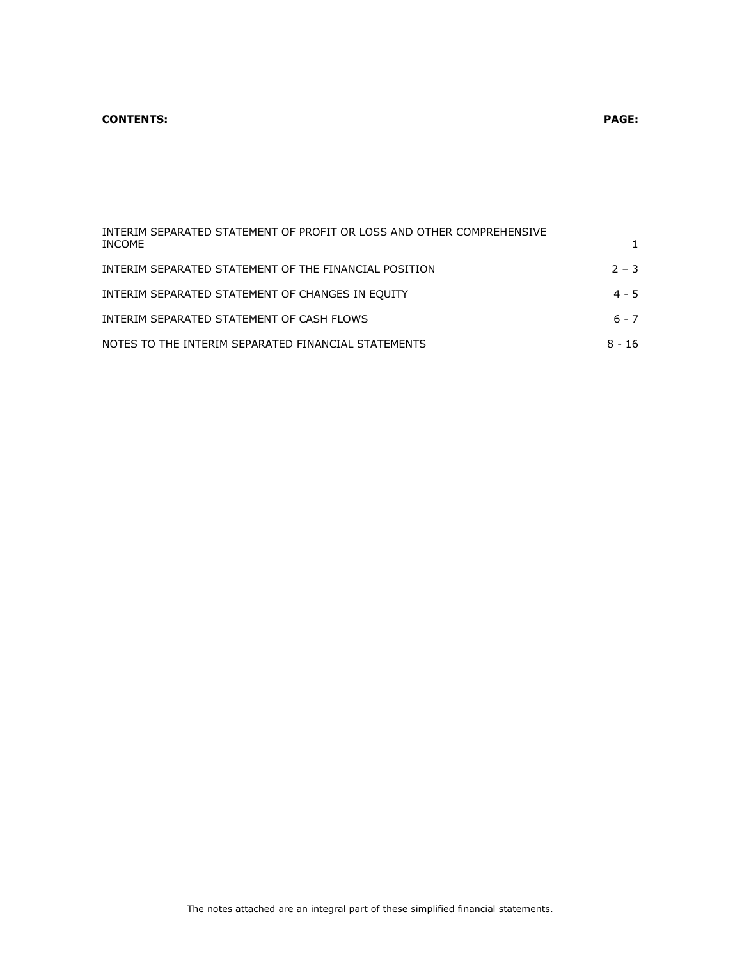# **CONTENTS: PAGE:**

| INTERIM SEPARATED STATEMENT OF PROFIT OR LOSS AND OTHER COMPREHENSIVE<br>INCOME |         |
|---------------------------------------------------------------------------------|---------|
| INTERIM SEPARATED STATEMENT OF THE FINANCIAL POSITION                           | $2 - 3$ |
| INTERIM SEPARATED STATEMENT OF CHANGES IN EOUITY                                | $4 - 5$ |
| INTERIM SEPARATED STATEMENT OF CASH FLOWS                                       | 6 - 7   |

| NOTES TO THE INTERIM SEPARATED FINANCIAL STATEMENTS | 8 - 16 |
|-----------------------------------------------------|--------|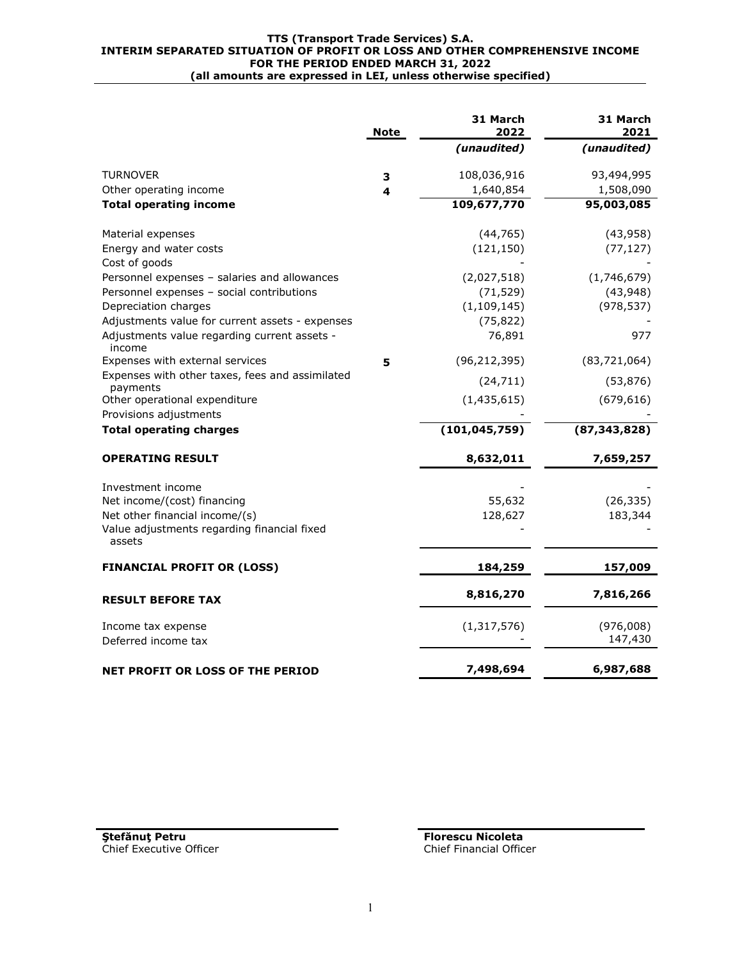### **TTS (Transport Trade Services) S.A. INTERIM SEPARATED SITUATION OF PROFIT OR LOSS AND OTHER COMPREHENSIVE INCOME FOR THE PERIOD ENDED MARCH 31, 2022 (all amounts are expressed in LEI, unless otherwise specified)**

|                                                             | <b>Note</b> | 31 March<br>2022 | 31 March<br>2021 |
|-------------------------------------------------------------|-------------|------------------|------------------|
|                                                             |             | (unaudited)      | (unaudited)      |
| <b>TURNOVER</b>                                             | 3           | 108,036,916      | 93,494,995       |
| Other operating income                                      | 4           | 1,640,854        | 1,508,090        |
| <b>Total operating income</b>                               |             | 109,677,770      | 95,003,085       |
| Material expenses                                           |             | (44, 765)        | (43, 958)        |
| Energy and water costs                                      |             | (121, 150)       | (77, 127)        |
| Cost of goods                                               |             |                  |                  |
| Personnel expenses - salaries and allowances                |             | (2,027,518)      | (1,746,679)      |
| Personnel expenses - social contributions                   |             | (71, 529)        | (43, 948)        |
| Depreciation charges                                        |             | (1, 109, 145)    | (978, 537)       |
| Adjustments value for current assets - expenses             |             | (75, 822)        |                  |
| Adjustments value regarding current assets -<br>income      |             | 76,891           | 977              |
| Expenses with external services                             | 5           | (96, 212, 395)   | (83, 721, 064)   |
| Expenses with other taxes, fees and assimilated<br>payments |             | (24, 711)        | (53, 876)        |
| Other operational expenditure                               |             | (1, 435, 615)    | (679, 616)       |
| Provisions adjustments                                      |             |                  |                  |
| <b>Total operating charges</b>                              |             | (101, 045, 759)  | (87, 343, 828)   |
| <b>OPERATING RESULT</b>                                     |             | 8,632,011        | 7,659,257        |
| Investment income                                           |             |                  |                  |
| Net income/(cost) financing                                 |             | 55,632           | (26, 335)        |
| Net other financial income/(s)                              |             | 128,627          | 183,344          |
| Value adjustments regarding financial fixed<br>assets       |             |                  |                  |
| <b>FINANCIAL PROFIT OR (LOSS)</b>                           |             | 184,259          | 157,009          |
| <b>RESULT BEFORE TAX</b>                                    |             | 8,816,270        | 7,816,266        |
| Income tax expense                                          |             | (1, 317, 576)    | (976,008)        |
| Deferred income tax                                         |             |                  | 147,430          |
| <b>NET PROFIT OR LOSS OF THE PERIOD</b>                     |             | 7,498,694        | 6,987,688        |

**Ştefănuţ Petru Florescu Nicoleta** Chief Executive Officer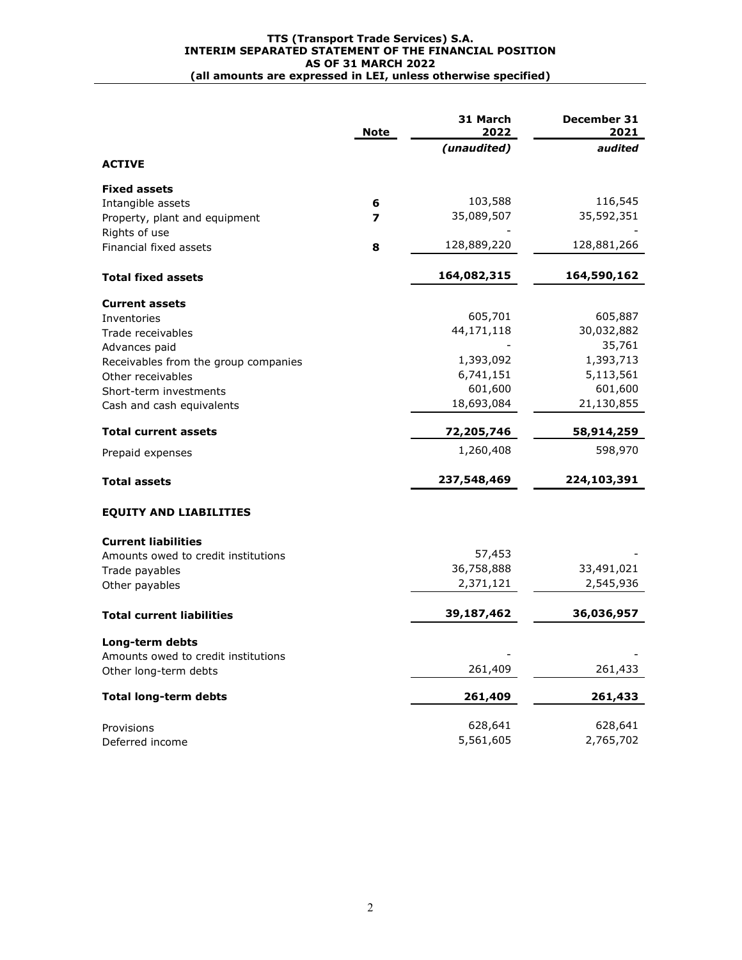## **TTS (Transport Trade Services) S.A. INTERIM SEPARATED STATEMENT OF THE FINANCIAL POSITION AS OF 31 MARCH 2022 (all amounts are expressed in LEI, unless otherwise specified)**

|                                      | <b>Note</b> | 31 March<br>2022 | December 31<br>2021 |
|--------------------------------------|-------------|------------------|---------------------|
|                                      |             | (unaudited)      | audited             |
| <b>ACTIVE</b>                        |             |                  |                     |
| <b>Fixed assets</b>                  |             |                  |                     |
| Intangible assets                    | 6           | 103,588          | 116,545             |
| Property, plant and equipment        | 7           | 35,089,507       | 35,592,351          |
| Rights of use                        |             |                  |                     |
| Financial fixed assets               | 8           | 128,889,220      | 128,881,266         |
| <b>Total fixed assets</b>            |             | 164,082,315      | 164,590,162         |
| <b>Current assets</b>                |             |                  |                     |
| Inventories                          |             | 605,701          | 605,887             |
| Trade receivables                    |             | 44,171,118       | 30,032,882          |
| Advances paid                        |             |                  | 35,761              |
| Receivables from the group companies |             | 1,393,092        | 1,393,713           |
| Other receivables                    |             | 6,741,151        | 5,113,561           |
| Short-term investments               |             | 601,600          | 601,600             |
| Cash and cash equivalents            |             | 18,693,084       | 21,130,855          |
| <b>Total current assets</b>          |             | 72,205,746       | 58,914,259          |
| Prepaid expenses                     |             | 1,260,408        | 598,970             |
| <b>Total assets</b>                  |             | 237,548,469      | 224,103,391         |
| <b>EQUITY AND LIABILITIES</b>        |             |                  |                     |
| <b>Current liabilities</b>           |             |                  |                     |
| Amounts owed to credit institutions  |             | 57,453           |                     |
| Trade payables                       |             | 36,758,888       | 33,491,021          |
| Other payables                       |             | 2,371,121        | 2,545,936           |
| <b>Total current liabilities</b>     |             | 39,187,462       | 36,036,957          |
| Long-term debts                      |             |                  |                     |
| Amounts owed to credit institutions  |             |                  |                     |
| Other long-term debts                |             | 261,409          | 261,433             |
| <b>Total long-term debts</b>         |             | 261,409          | 261,433             |
| Provisions                           |             | 628,641          | 628,641             |
| Deferred income                      |             | 5,561,605        | 2,765,702           |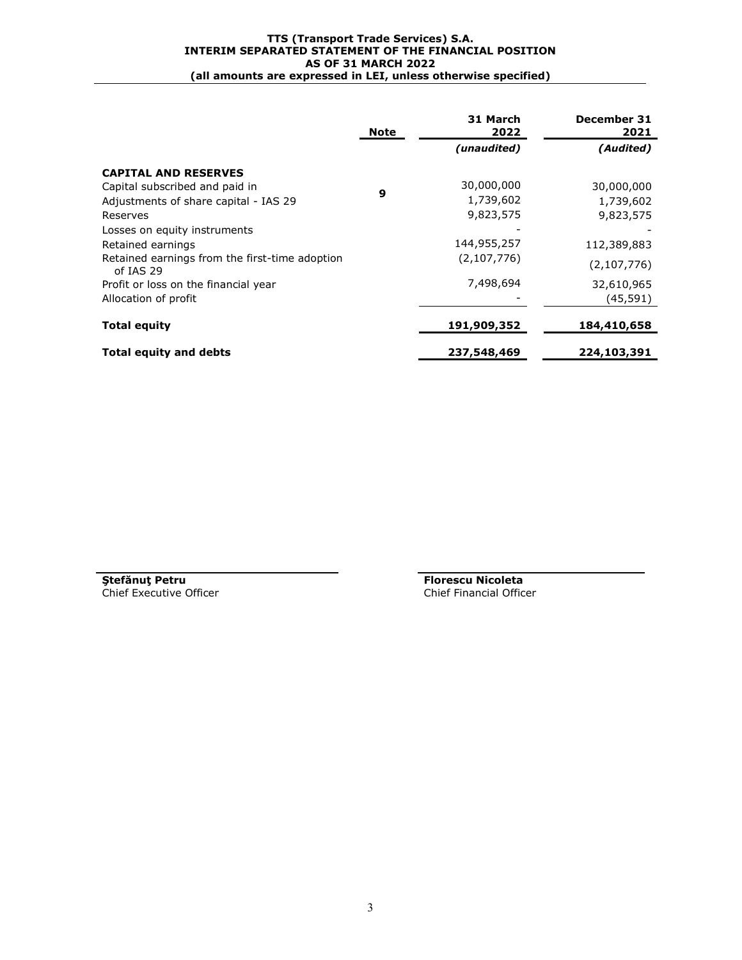## **TTS (Transport Trade Services) S.A. INTERIM SEPARATED STATEMENT OF THE FINANCIAL POSITION AS OF 31 MARCH 2022 (all amounts are expressed in LEI, unless otherwise specified)**

|                                                             | <b>Note</b> | 31 March<br>2022 | December 31<br>2021 |
|-------------------------------------------------------------|-------------|------------------|---------------------|
|                                                             |             | (unaudited)      | (Audited)           |
| <b>CAPITAL AND RESERVES</b>                                 |             |                  |                     |
| Capital subscribed and paid in                              |             | 30,000,000       | 30,000,000          |
| Adjustments of share capital - IAS 29                       | 9           | 1,739,602        | 1,739,602           |
| Reserves                                                    |             | 9,823,575        | 9,823,575           |
| Losses on equity instruments                                |             |                  |                     |
| Retained earnings                                           |             | 144,955,257      | 112,389,883         |
| Retained earnings from the first-time adoption<br>of IAS 29 |             | (2,107,776)      | (2, 107, 776)       |
| Profit or loss on the financial year                        |             | 7,498,694        | 32,610,965          |
| Allocation of profit                                        |             |                  | (45, 591)           |
| <b>Total equity</b>                                         |             | 191,909,352      | 184,410,658         |
| <b>Total equity and debts</b>                               |             | 237,548,469      | 224,103,391         |

Chief Executive Officer

**Ştefănuţ Petru Florescu Nicoleta**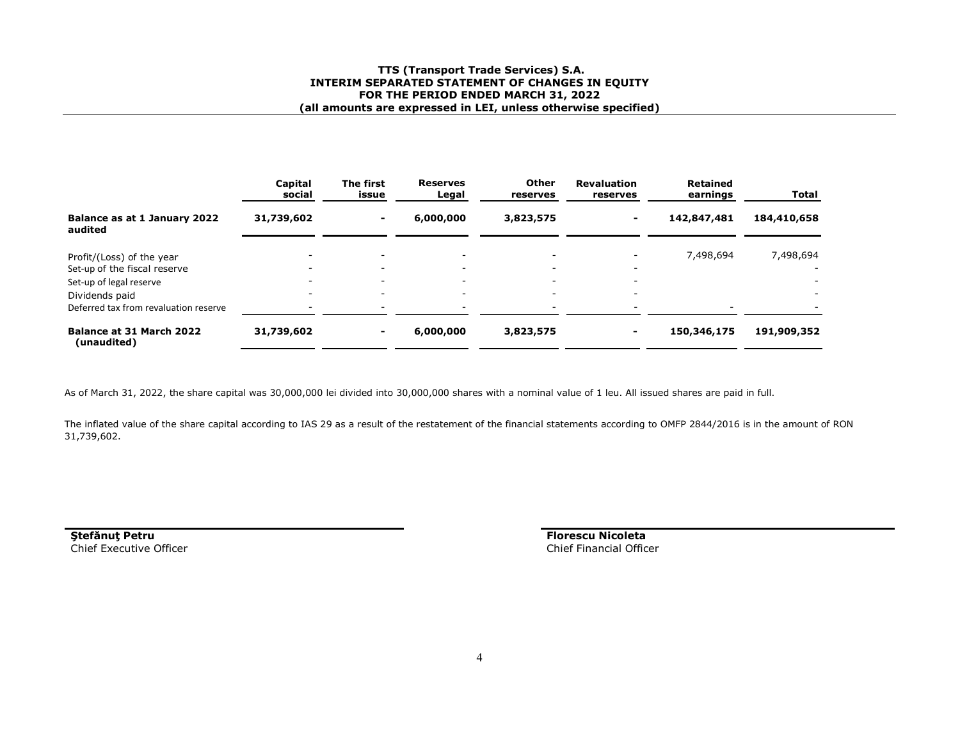## **TTS (Transport Trade Services) S.A. INTERIM SEPARATED STATEMENT OF CHANGES IN EQUITY FOR THE PERIOD ENDED MARCH 31, 2022 (all amounts are expressed in LEI, unless otherwise specified)**

|                                                           | Capital<br>social        | The first<br>issue                                   | <b>Reserves</b><br>Legal                             | Other<br>reserves                                    | <b>Revaluation</b><br>reserves | <b>Retained</b><br>earnings | <b>Total</b>                          |
|-----------------------------------------------------------|--------------------------|------------------------------------------------------|------------------------------------------------------|------------------------------------------------------|--------------------------------|-----------------------------|---------------------------------------|
| Balance as at 1 January 2022<br>audited                   | 31,739,602               | ۰.                                                   | 6,000,000                                            | 3,823,575                                            | ۰.                             | 142,847,481                 | 184,410,658                           |
| Profit/(Loss) of the year<br>Set-up of the fiscal reserve |                          | $\overline{\phantom{0}}$<br>$\overline{\phantom{0}}$ | $\overline{\phantom{0}}$<br>$\overline{\phantom{0}}$ | $\overline{\phantom{0}}$<br>$\overline{\phantom{a}}$ | $\overline{\phantom{0}}$       | 7,498,694                   | 7,498,694<br>$\overline{\phantom{a}}$ |
| Set-up of legal reserve                                   |                          | $\overline{\phantom{0}}$                             | $\overline{\phantom{0}}$                             | $\overline{\phantom{a}}$                             | $\overline{\phantom{0}}$       |                             | $\overline{\phantom{a}}$              |
| Dividends paid                                            | $\overline{\phantom{0}}$ | $\overline{\phantom{0}}$                             | $\overline{\phantom{0}}$                             | $\overline{\phantom{a}}$                             | $\overline{\phantom{0}}$       |                             | $\overline{\phantom{a}}$              |
| Deferred tax from revaluation reserve                     | $\overline{\phantom{a}}$ | $\overline{\phantom{0}}$                             | $\overline{\phantom{0}}$                             | $\overline{\phantom{0}}$                             | $\overline{\phantom{0}}$       |                             | $\overline{\phantom{0}}$              |
| Balance at 31 March 2022<br>(unaudited)                   | 31,739,602               | ۰.                                                   | 6,000,000                                            | 3,823,575                                            |                                | 150,346,175                 | 191,909,352                           |

As of March 31, 2022, the share capital was 30,000,000 lei divided into 30,000,000 shares with a nominal value of 1 leu. All issued shares are paid in full.

The inflated value of the share capital according to IAS 29 as a result of the restatement of the financial statements according to OMFP 2844/2016 is in the amount of RON 31,739,602.

**Ştefănuţ Petru**Chief Executive Officer  **Florescu Nicoleta** Chief Financial Officer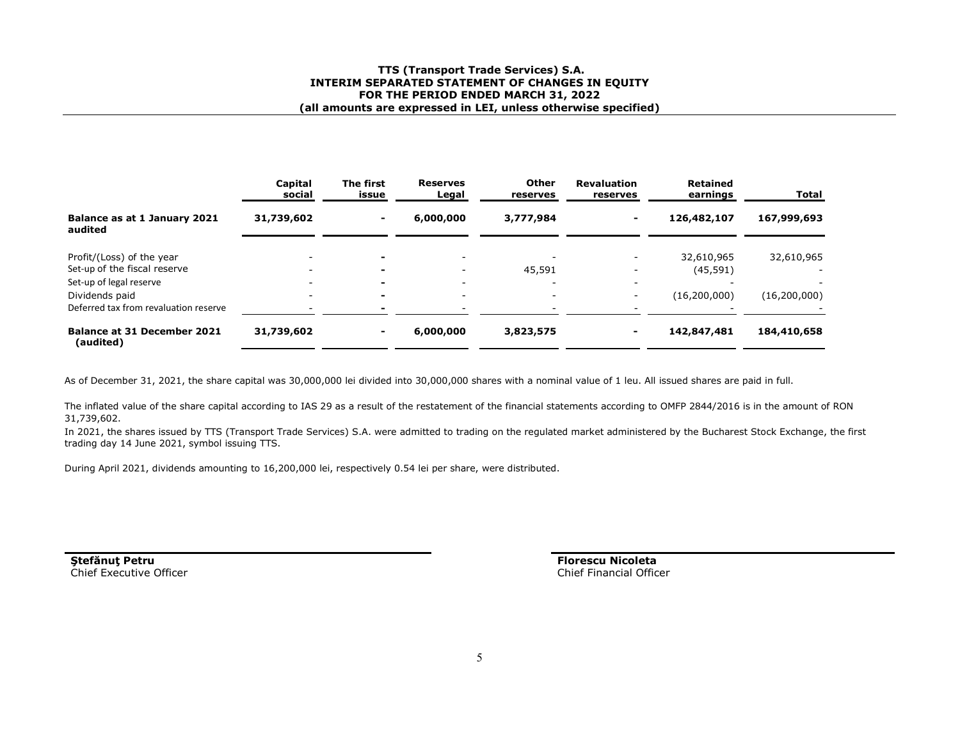## **TTS (Transport Trade Services) S.A. INTERIM SEPARATED STATEMENT OF CHANGES IN EQUITY FOR THE PERIOD ENDED MARCH 31, 2022 (all amounts are expressed in LEI, unless otherwise specified)**

|                                                           | Capital<br>social | The first<br>issue | <b>Reserves</b><br>Legal | Other<br>reserves | <b>Revaluation</b><br>reserves | Retained<br>earnings    | Total          |
|-----------------------------------------------------------|-------------------|--------------------|--------------------------|-------------------|--------------------------------|-------------------------|----------------|
| Balance as at 1 January 2021<br>audited                   | 31,739,602        | $\blacksquare$     | 6,000,000                | 3,777,984         |                                | 126,482,107             | 167,999,693    |
| Profit/(Loss) of the year<br>Set-up of the fiscal reserve |                   | $\blacksquare$     |                          | 45,591            |                                | 32,610,965<br>(45, 591) | 32,610,965     |
| Set-up of legal reserve<br>Dividends paid                 |                   | $\blacksquare$     |                          |                   | $\overline{\phantom{0}}$       | (16,200,000)            | (16, 200, 000) |
| Deferred tax from revaluation reserve                     |                   |                    |                          |                   |                                |                         |                |
| <b>Balance at 31 December 2021</b><br>(audited)           | 31,739,602        |                    | 6,000,000                | 3,823,575         |                                | 142,847,481             | 184,410,658    |

As of December 31, 2021, the share capital was 30,000,000 lei divided into 30,000,000 shares with a nominal value of 1 leu. All issued shares are paid in full.

The inflated value of the share capital according to IAS 29 as a result of the restatement of the financial statements according to OMFP 2844/2016 is in the amount of RON 31,739,602.

 In 2021, the shares issued by TTS (Transport Trade Services) S.A. were admitted to trading on the regulated market administered by the Bucharest Stock Exchange, the first trading day 14 June 2021, symbol issuing TTS.

During April 2021, dividends amounting to 16,200,000 lei, respectively 0.54 lei per share, were distributed.

**Ştefănuţ Petru**Chief Executive Officer **Florescu Nicoleta**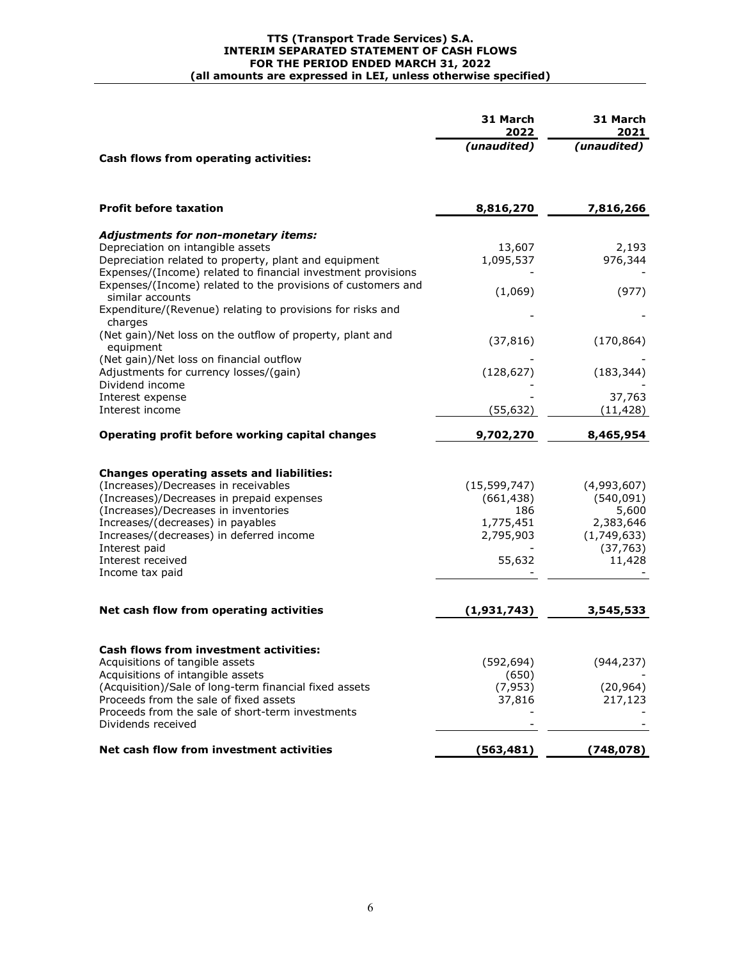## **TTS (Transport Trade Services) S.A. INTERIM SEPARATED STATEMENT OF CASH FLOWS FOR THE PERIOD ENDED MARCH 31, 2022 (all amounts are expressed in LEI, unless otherwise specified)**

|                                                                                                                                                                                                                                                                                                                         | 31 March<br>2022                                                        | 31 March<br>2021                                                                      |
|-------------------------------------------------------------------------------------------------------------------------------------------------------------------------------------------------------------------------------------------------------------------------------------------------------------------------|-------------------------------------------------------------------------|---------------------------------------------------------------------------------------|
| Cash flows from operating activities:                                                                                                                                                                                                                                                                                   | (unaudited)                                                             | (unaudited)                                                                           |
| <b>Profit before taxation</b>                                                                                                                                                                                                                                                                                           | 8,816,270                                                               | 7,816,266                                                                             |
| <b>Adjustments for non-monetary items:</b><br>Depreciation on intangible assets<br>Depreciation related to property, plant and equipment<br>Expenses/(Income) related to financial investment provisions                                                                                                                | 13,607<br>1,095,537                                                     | 2,193<br>976,344                                                                      |
| Expenses/(Income) related to the provisions of customers and<br>similar accounts<br>Expenditure/(Revenue) relating to provisions for risks and<br>charges                                                                                                                                                               | (1,069)                                                                 | (977)                                                                                 |
| (Net gain)/Net loss on the outflow of property, plant and<br>equipment<br>(Net gain)/Net loss on financial outflow                                                                                                                                                                                                      | (37, 816)                                                               | (170, 864)                                                                            |
| Adjustments for currency losses/(gain)<br>Dividend income                                                                                                                                                                                                                                                               | (128, 627)                                                              | (183, 344)                                                                            |
| Interest expense<br>Interest income                                                                                                                                                                                                                                                                                     | (55,632)                                                                | 37,763<br>(11, 428)                                                                   |
| Operating profit before working capital changes                                                                                                                                                                                                                                                                         | 9,702,270                                                               | 8,465,954                                                                             |
| <b>Changes operating assets and liabilities:</b><br>(Increases)/Decreases in receivables<br>(Increases)/Decreases in prepaid expenses<br>(Increases)/Decreases in inventories<br>Increases/(decreases) in payables<br>Increases/(decreases) in deferred income<br>Interest paid<br>Interest received<br>Income tax paid | (15, 599, 747)<br>(661, 438)<br>186<br>1,775,451<br>2,795,903<br>55,632 | (4,993,607)<br>(540, 091)<br>5,600<br>2,383,646<br>(1,749,633)<br>(37, 763)<br>11,428 |
| Net cash flow from operating activities                                                                                                                                                                                                                                                                                 | (1,931,743)                                                             | 3,545,533                                                                             |
| <b>Cash flows from investment activities:</b><br>Acquisitions of tangible assets<br>Acquisitions of intangible assets<br>(Acquisition)/Sale of long-term financial fixed assets<br>Proceeds from the sale of fixed assets<br>Proceeds from the sale of short-term investments<br>Dividends received                     | (592, 694)<br>(650)<br>(7, 953)<br>37,816                               | (944,237)<br>(20, 964)<br>217,123                                                     |
| Net cash flow from investment activities                                                                                                                                                                                                                                                                                | (563, 481)                                                              | (748, 078)                                                                            |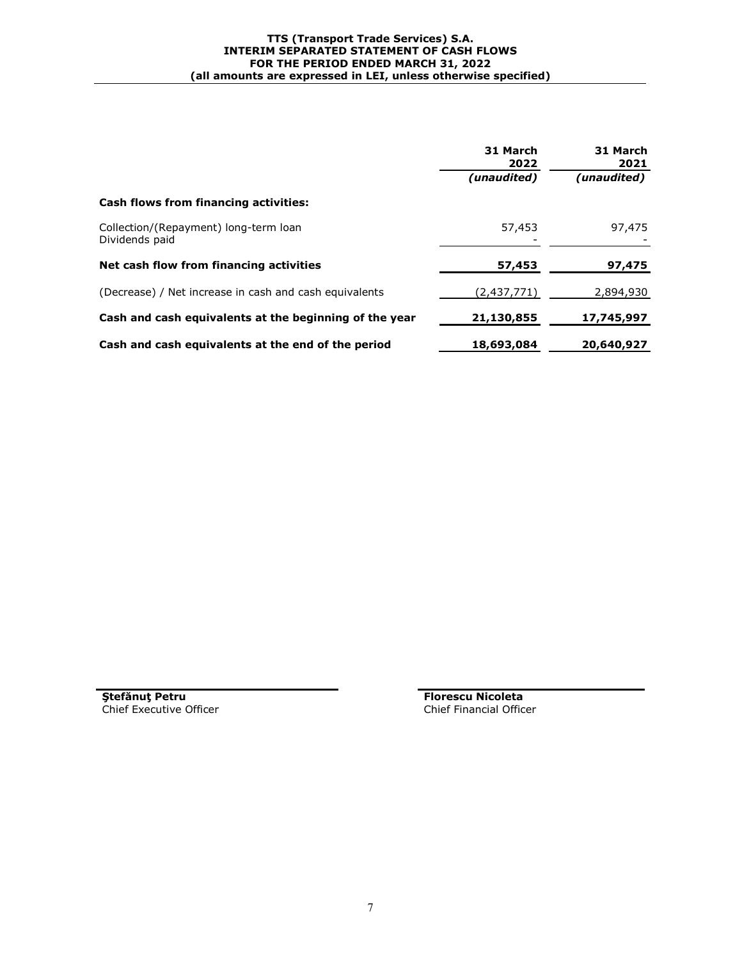|                                                         | 31 March<br>2022 | 31 March<br>2021 |  |
|---------------------------------------------------------|------------------|------------------|--|
|                                                         | (unaudited)      | (unaudited)      |  |
| <b>Cash flows from financing activities:</b>            |                  |                  |  |
| Collection/(Repayment) long-term loan<br>Dividends paid | 57,453           | 97,475           |  |
| Net cash flow from financing activities                 | 57,453           | 97,475           |  |
| (Decrease) / Net increase in cash and cash equivalents  | (2,437,771)      | 2,894,930        |  |
| Cash and cash equivalents at the beginning of the year  | 21,130,855       | 17,745,997       |  |
| Cash and cash equivalents at the end of the period      | 18,693,084       | 20,640,927       |  |

**Stefănuț Petru**<br> **Florescu Nicoleta**<br> **Florescu Nicoleta**<br> **Florescu Nicoleta**<br> **Florescu Nicoleta**<br> **Florescu Nicoleta** Chief Executive Officer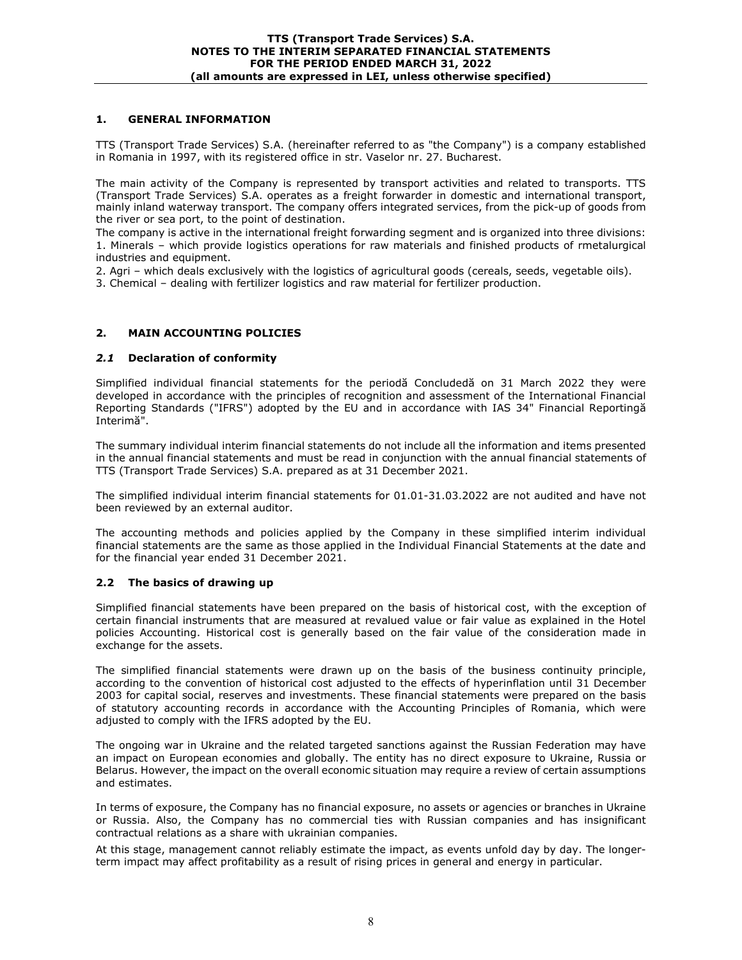# **1. GENERAL INFORMATION**

TTS (Transport Trade Services) S.A. (hereinafter referred to as "the Company") is a company established in Romania in 1997, with its registered office in str. Vaselor nr. 27. Bucharest.

The main activity of the Company is represented by transport activities and related to transports. TTS (Transport Trade Services) S.A. operates as a freight forwarder in domestic and international transport, mainly inland waterway transport. The company offers integrated services, from the pick-up of goods from the river or sea port, to the point of destination.

The company is active in the international freight forwarding segment and is organized into three divisions: 1. Minerals – which provide logistics operations for raw materials and finished products of rmetalurgical industries and equipment.

2. Agri – which deals exclusively with the logistics of agricultural goods (cereals, seeds, vegetable oils).

3. Chemical – dealing with fertilizer logistics and raw material for fertilizer production.

# **2. MAIN ACCOUNTING POLICIES**

# *2.1* **Declaration of conformity**

Simplified individual financial statements for the periodă Concludedă on 31 March 2022 they were developed in accordance with the principles of recognition and assessment of the International Financial Reporting Standards ("IFRS") adopted by the EU and in accordance with IAS 34" Financial Reportingă Interimă".

The summary individual interim financial statements do not include all the information and items presented in the annual financial statements and must be read in conjunction with the annual financial statements of TTS (Transport Trade Services) S.A. prepared as at 31 December 2021.

The simplified individual interim financial statements for 01.01-31.03.2022 are not audited and have not been reviewed by an external auditor.

The accounting methods and policies applied by the Company in these simplified interim individual financial statements are the same as those applied in the Individual Financial Statements at the date and for the financial year ended 31 December 2021.

# **2.2 The basics of drawing up**

Simplified financial statements have been prepared on the basis of historical cost, with the exception of certain financial instruments that are measured at revalued value or fair value as explained in the Hotel policies Accounting. Historical cost is generally based on the fair value of the consideration made in exchange for the assets.

The simplified financial statements were drawn up on the basis of the business continuity principle, according to the convention of historical cost adjusted to the effects of hyperinflation until 31 December 2003 for capital social, reserves and investments. These financial statements were prepared on the basis of statutory accounting records in accordance with the Accounting Principles of Romania, which were adjusted to comply with the IFRS adopted by the EU.

The ongoing war in Ukraine and the related targeted sanctions against the Russian Federation may have an impact on European economies and globally. The entity has no direct exposure to Ukraine, Russia or Belarus. However, the impact on the overall economic situation may require a review of certain assumptions and estimates.

In terms of exposure, the Company has no financial exposure, no assets or agencies or branches in Ukraine or Russia. Also, the Company has no commercial ties with Russian companies and has insignificant contractual relations as a share with ukrainian companies.

At this stage, management cannot reliably estimate the impact, as events unfold day by day. The longerterm impact may affect profitability as a result of rising prices in general and energy in particular.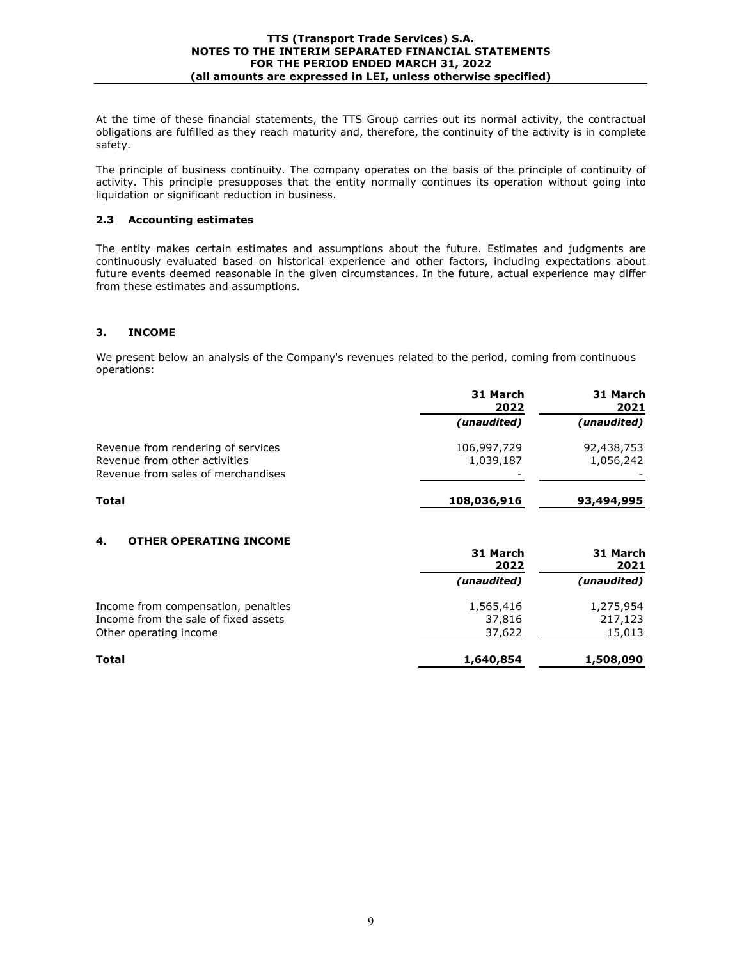At the time of these financial statements, the TTS Group carries out its normal activity, the contractual obligations are fulfilled as they reach maturity and, therefore, the continuity of the activity is in complete safety.

The principle of business continuity. The company operates on the basis of the principle of continuity of activity. This principle presupposes that the entity normally continues its operation without going into liquidation or significant reduction in business.

## **2.3 Accounting estimates**

The entity makes certain estimates and assumptions about the future. Estimates and judgments are continuously evaluated based on historical experience and other factors, including expectations about future events deemed reasonable in the given circumstances. In the future, actual experience may differ from these estimates and assumptions.

# **3. INCOME**

We present below an analysis of the Company's revenues related to the period, coming from continuous operations:

|                                                                                                           | 31 March<br>2022              | 31 March<br>2021        |  |
|-----------------------------------------------------------------------------------------------------------|-------------------------------|-------------------------|--|
|                                                                                                           | (unaudited)                   | (unaudited)             |  |
| Revenue from rendering of services<br>Revenue from other activities<br>Revenue from sales of merchandises | 106,997,729<br>1,039,187<br>- | 92,438,753<br>1,056,242 |  |
| Total                                                                                                     | 108,036,916                   | 93,494,995              |  |

# **4. OTHER OPERATING INCOME**

|                                      | 31 March<br>2022 | 31 March<br>2021 |
|--------------------------------------|------------------|------------------|
|                                      | (unaudited)      | (unaudited)      |
| Income from compensation, penalties  | 1,565,416        | 1,275,954        |
| Income from the sale of fixed assets | 37,816           | 217,123          |
| Other operating income               | 37,622           | 15,013           |
| Total                                | 1,640,854        | 1,508,090        |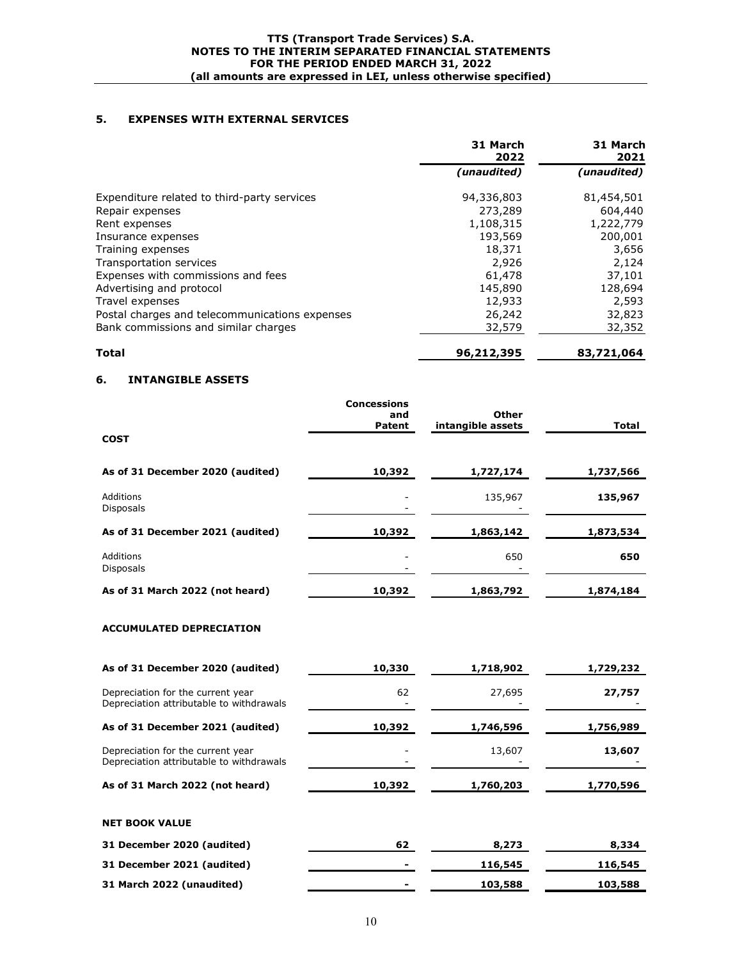# **5. EXPENSES WITH EXTERNAL SERVICES**

|                                                | 31 March<br>2022 | 31 March<br>2021 |
|------------------------------------------------|------------------|------------------|
|                                                | (unaudited)      | (unaudited)      |
| Expenditure related to third-party services    | 94,336,803       | 81,454,501       |
| Repair expenses                                | 273,289          | 604,440          |
| Rent expenses                                  | 1,108,315        | 1,222,779        |
| Insurance expenses                             | 193,569          | 200,001          |
| Training expenses                              | 18,371           | 3,656            |
| Transportation services                        | 2,926            | 2,124            |
| Expenses with commissions and fees             | 61,478           | 37,101           |
| Advertising and protocol                       | 145,890          | 128,694          |
| Travel expenses                                | 12,933           | 2,593            |
| Postal charges and telecommunications expenses | 26,242           | 32,823           |
| Bank commissions and similar charges           | 32,579           | 32,352           |
| <b>Total</b>                                   | 96,212,395       | 83,721,064       |

# **6. INTANGIBLE ASSETS**

| <b>COST</b>                          | <b>Concessions</b><br>and<br><b>Patent</b> | Other<br>intangible assets | <b>Total</b> |
|--------------------------------------|--------------------------------------------|----------------------------|--------------|
| As of 31 December 2020 (audited)     | 10,392                                     | 1,727,174                  | 1,737,566    |
| <b>Additions</b><br><b>Disposals</b> |                                            | 135,967                    | 135,967      |
| As of 31 December 2021 (audited)     | 10,392                                     | 1,863,142                  | 1,873,534    |
| Additions<br><b>Disposals</b>        |                                            | 650                        | 650          |
| As of 31 March 2022 (not heard)      | 10,392                                     | 1,863,792                  | 1,874,184    |

# **ACCUMULATED DEPRECIATION**

| As of 31 December 2020 (audited)                                              | 10,330 | 1,718,902 | 1,729,232 |
|-------------------------------------------------------------------------------|--------|-----------|-----------|
| Depreciation for the current year<br>Depreciation attributable to withdrawals | 62     | 27,695    | 27,757    |
| As of 31 December 2021 (audited)                                              | 10,392 | 1,746,596 | 1,756,989 |
| Depreciation for the current year<br>Depreciation attributable to withdrawals |        | 13,607    | 13,607    |
| As of 31 March 2022 (not heard)                                               | 10,392 | 1,760,203 | 1,770,596 |
| <b>NET BOOK VALUE</b>                                                         |        |           |           |
| 31 December 2020 (audited)                                                    | 62     | 8,273     | 8,334     |
| 31 December 2021 (audited)                                                    |        | 116,545   | 116,545   |
| 31 March 2022 (unaudited)                                                     |        | 103,588   | 103,588   |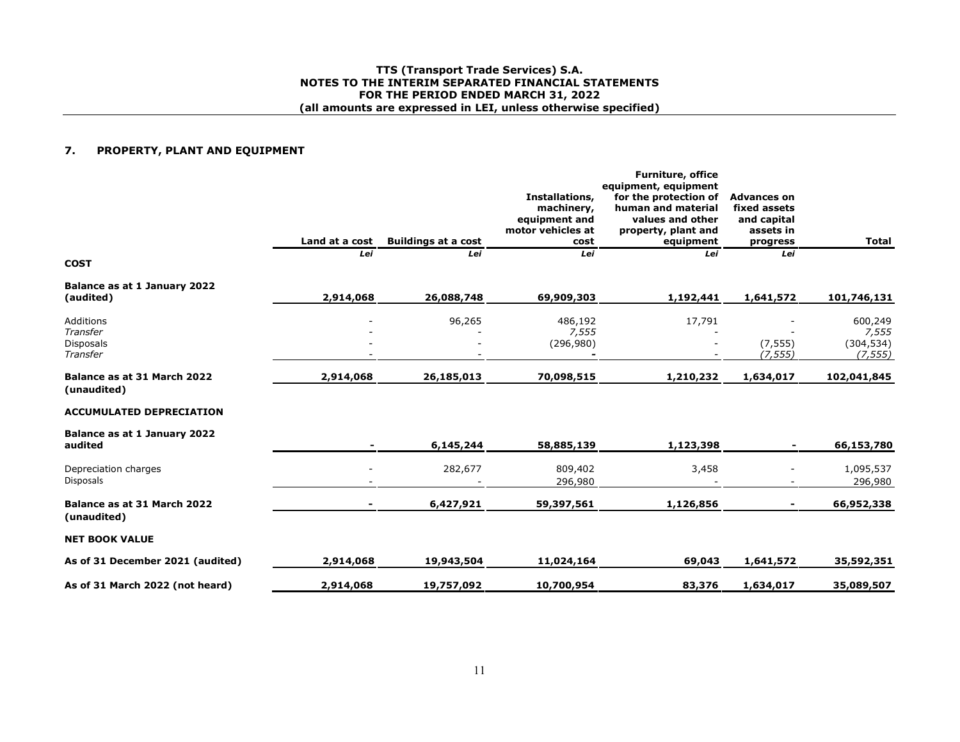## **TTS (Transport Trade Services) S.A. NOTES TO THE INTERIM SEPARATED FINANCIAL STATEMENTSFOR THE PERIOD ENDED MARCH 31, 2022 (all amounts are expressed in LEI, unless otherwise specified)**

#### **7.PROPERTY, PLANT AND EQUIPMENT**

|                                                | Land at a cost | <b>Buildings at a cost</b> | Installations,<br>machinery,<br>equipment and<br>motor vehicles at<br>cost | <b>Furniture, office</b><br>equipment, equipment<br>for the protection of<br>human and material<br>values and other<br>property, plant and<br>equipment | <b>Advances on</b><br>fixed assets<br>and capital<br>assets in<br>progress | <b>Total</b>                               |
|------------------------------------------------|----------------|----------------------------|----------------------------------------------------------------------------|---------------------------------------------------------------------------------------------------------------------------------------------------------|----------------------------------------------------------------------------|--------------------------------------------|
| <b>COST</b>                                    | Lei            | Lei                        | Lei                                                                        | Lei                                                                                                                                                     | Lei                                                                        |                                            |
| Balance as at 1 January 2022<br>(audited)      | 2,914,068      | 26,088,748                 | 69,909,303                                                                 | 1,192,441                                                                                                                                               | 1,641,572                                                                  | 101,746,131                                |
| Additions<br>Transfer<br>Disposals<br>Transfer |                | 96,265                     | 486,192<br>7,555<br>(296,980)                                              | 17,791                                                                                                                                                  | (7, 555)<br>(7, 555)                                                       | 600,249<br>7,555<br>(304, 534)<br>(7, 555) |
| Balance as at 31 March 2022<br>(unaudited)     | 2,914,068      | 26,185,013                 | 70,098,515                                                                 | 1,210,232                                                                                                                                               | 1,634,017                                                                  | 102,041,845                                |
| <b>ACCUMULATED DEPRECIATION</b>                |                |                            |                                                                            |                                                                                                                                                         |                                                                            |                                            |
| Balance as at 1 January 2022<br>audited        |                | 6,145,244                  | 58,885,139                                                                 | 1,123,398                                                                                                                                               |                                                                            | 66,153,780                                 |
| Depreciation charges<br>Disposals              |                | 282,677                    | 809,402<br>296,980                                                         | 3,458                                                                                                                                                   |                                                                            | 1,095,537<br>296,980                       |
| Balance as at 31 March 2022<br>(unaudited)     |                | 6,427,921                  | 59,397,561                                                                 | 1,126,856                                                                                                                                               |                                                                            | 66,952,338                                 |
| <b>NET BOOK VALUE</b>                          |                |                            |                                                                            |                                                                                                                                                         |                                                                            |                                            |
| As of 31 December 2021 (audited)               | 2,914,068      | 19,943,504                 | 11,024,164                                                                 | 69,043                                                                                                                                                  | 1,641,572                                                                  | 35,592,351                                 |
| As of 31 March 2022 (not heard)                | 2,914,068      | 19,757,092                 | 10,700,954                                                                 | 83,376                                                                                                                                                  | 1,634,017                                                                  | 35,089,507                                 |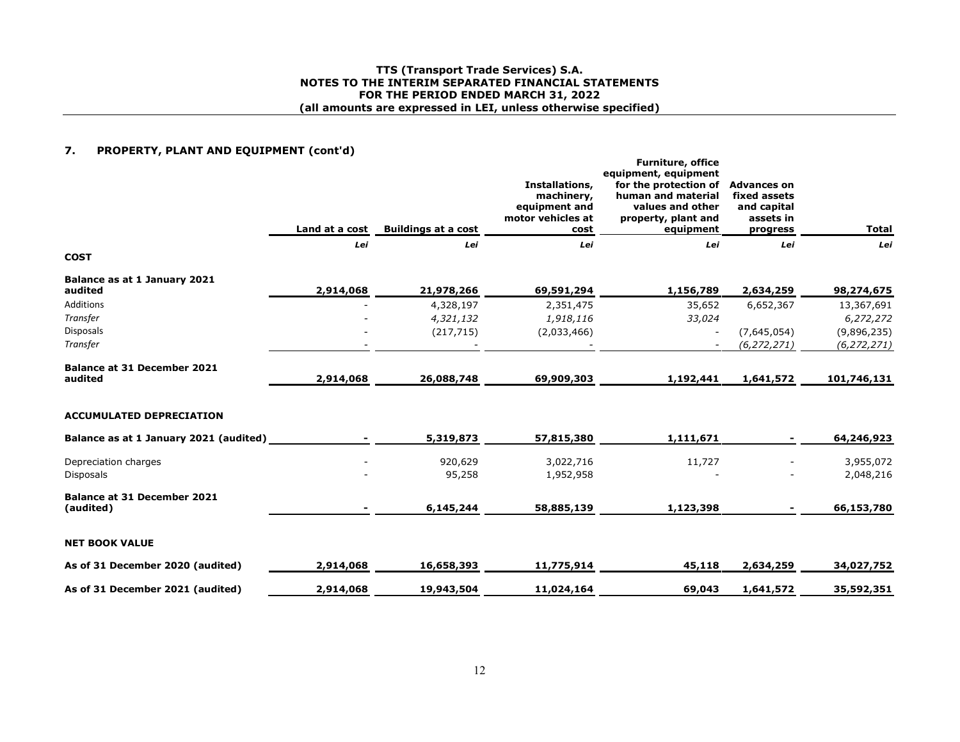## **TTS (Transport Trade Services) S.A. NOTES TO THE INTERIM SEPARATED FINANCIAL STATEMENTSFOR THE PERIOD ENDED MARCH 31, 2022 (all amounts are expressed in LEI, unless otherwise specified)**

# **7. PROPERTY, PLANT AND EQUIPMENT (cont'd)**

|                                                 | Land at a cost | <b>Buildings at a cost</b> | Installations,<br>machinery,<br>equipment and<br>motor vehicles at<br>cost | <b>Furniture, office</b><br>equipment, equipment<br>for the protection of<br>human and material<br>values and other<br>property, plant and<br>equipment | <b>Advances on</b><br>fixed assets<br>and capital<br>assets in<br>progress | <b>Total</b>  |
|-------------------------------------------------|----------------|----------------------------|----------------------------------------------------------------------------|---------------------------------------------------------------------------------------------------------------------------------------------------------|----------------------------------------------------------------------------|---------------|
|                                                 | Lei            | Lei                        | Lei                                                                        | Lei                                                                                                                                                     | Lei                                                                        | Lei           |
| <b>COST</b>                                     |                |                            |                                                                            |                                                                                                                                                         |                                                                            |               |
| Balance as at 1 January 2021<br>audited         | 2,914,068      | 21,978,266                 | 69,591,294                                                                 | 1,156,789                                                                                                                                               | 2,634,259                                                                  | 98, 274, 675  |
| Additions                                       |                | 4,328,197                  | 2,351,475                                                                  | 35,652                                                                                                                                                  | 6,652,367                                                                  | 13,367,691    |
| Transfer                                        |                | 4,321,132                  | 1,918,116                                                                  | 33,024                                                                                                                                                  |                                                                            | 6,272,272     |
| <b>Disposals</b>                                |                | (217, 715)                 | (2,033,466)                                                                |                                                                                                                                                         | (7,645,054)                                                                | (9,896,235)   |
| Transfer                                        |                |                            |                                                                            |                                                                                                                                                         | (6, 272, 271)                                                              | (6, 272, 271) |
| <b>Balance at 31 December 2021</b><br>audited   | 2,914,068      | 26,088,748                 | 69,909,303                                                                 | 1,192,441                                                                                                                                               | 1,641,572                                                                  | 101,746,131   |
| <b>ACCUMULATED DEPRECIATION</b>                 |                |                            |                                                                            |                                                                                                                                                         |                                                                            |               |
| Balance as at 1 January 2021 (audited)          |                | 5,319,873                  | 57,815,380                                                                 | 1,111,671                                                                                                                                               |                                                                            | 64,246,923    |
| Depreciation charges                            |                | 920,629                    | 3,022,716                                                                  | 11,727                                                                                                                                                  |                                                                            | 3,955,072     |
| <b>Disposals</b>                                |                | 95,258                     | 1,952,958                                                                  |                                                                                                                                                         |                                                                            | 2,048,216     |
| <b>Balance at 31 December 2021</b><br>(audited) |                | 6,145,244                  | 58,885,139                                                                 | 1,123,398                                                                                                                                               |                                                                            | 66,153,780    |
| <b>NET BOOK VALUE</b>                           |                |                            |                                                                            |                                                                                                                                                         |                                                                            |               |
| As of 31 December 2020 (audited)                | 2,914,068      | 16,658,393                 | 11,775,914                                                                 | 45,118                                                                                                                                                  | 2,634,259                                                                  | 34,027,752    |
| As of 31 December 2021 (audited)                | 2,914,068      | 19,943,504                 | 11,024,164                                                                 | 69,043                                                                                                                                                  | 1,641,572                                                                  | 35,592,351    |
|                                                 |                |                            |                                                                            |                                                                                                                                                         |                                                                            |               |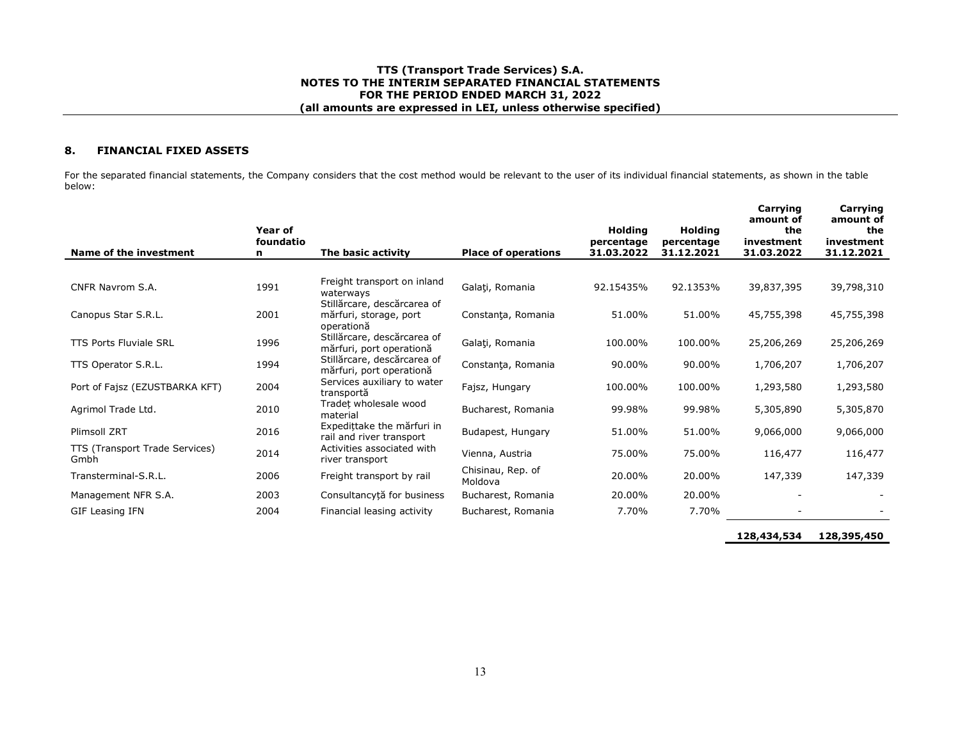## **TTS (Transport Trade Services) S.A. NOTES TO THE INTERIM SEPARATED FINANCIAL STATEMENTSFOR THE PERIOD ENDED MARCH 31, 2022 (all amounts are expressed in LEI, unless otherwise specified)**

#### **8.FINANCIAL FIXED ASSETS**

For the separated financial statements, the Company considers that the cost method would be relevant to the user of its individual financial statements, as shown in the table below:

| Name of the investment                 | Year of<br>foundatio<br>n | The basic activity                                                  | <b>Place of operations</b>   | <b>Holding</b><br>percentage<br>31.03.2022 | <b>Holding</b><br>percentage<br>31.12.2021 | Carrying<br>amount of<br>the<br>investment<br>31.03.2022 | Carrying<br>amount of<br>the<br>investment<br>31.12.2021 |
|----------------------------------------|---------------------------|---------------------------------------------------------------------|------------------------------|--------------------------------------------|--------------------------------------------|----------------------------------------------------------|----------------------------------------------------------|
|                                        |                           |                                                                     |                              |                                            |                                            |                                                          |                                                          |
| CNFR Navrom S.A.                       | 1991                      | Freight transport on inland<br>waterways                            | Galati, Romania              | 92.15435%                                  | 92.1353%                                   | 39,837,395                                               | 39,798,310                                               |
| Canopus Star S.R.L.                    | 2001                      | Stillărcare, descărcarea of<br>mărfuri, storage, port<br>operationă | Constanța, Romania           | 51.00%                                     | 51.00%                                     | 45,755,398                                               | 45,755,398                                               |
| <b>TTS Ports Fluviale SRL</b>          | 1996                      | Stillărcare, descărcarea of<br>mărfuri, port operationă             | Galați, Romania              | 100.00%                                    | 100.00%                                    | 25,206,269                                               | 25,206,269                                               |
| TTS Operator S.R.L.                    | 1994                      | Stillărcare, descărcarea of<br>mărfuri, port operationă             | Constanța, Romania           | 90.00%                                     | 90.00%                                     | 1,706,207                                                | 1,706,207                                                |
| Port of Fajsz (EZUSTBARKA KFT)         | 2004                      | Services auxiliary to water<br>transportă                           | Fajsz, Hungary               | 100.00%                                    | 100.00%                                    | 1,293,580                                                | 1,293,580                                                |
| Agrimol Trade Ltd.                     | 2010                      | Tradet wholesale wood<br>material                                   | Bucharest, Romania           | 99.98%                                     | 99.98%                                     | 5,305,890                                                | 5,305,870                                                |
| Plimsoll ZRT                           | 2016                      | Expedittake the mărfuri in<br>rail and river transport              | Budapest, Hungary            | 51.00%                                     | 51.00%                                     | 9,066,000                                                | 9,066,000                                                |
| TTS (Transport Trade Services)<br>Gmbh | 2014                      | Activities associated with<br>river transport                       | Vienna, Austria              | 75.00%                                     | 75.00%                                     | 116,477                                                  | 116,477                                                  |
| Transterminal-S.R.L.                   | 2006                      | Freight transport by rail                                           | Chisinau, Rep. of<br>Moldova | 20.00%                                     | 20.00%                                     | 147,339                                                  | 147,339                                                  |
| Management NFR S.A.                    | 2003                      | Consultancytă for business                                          | Bucharest, Romania           | 20.00%                                     | 20.00%                                     |                                                          |                                                          |
| GIF Leasing IFN                        | 2004                      | Financial leasing activity                                          | Bucharest, Romania           | 7.70%                                      | 7.70%                                      |                                                          |                                                          |
|                                        |                           |                                                                     |                              |                                            |                                            |                                                          |                                                          |

**128,434,534 128,395,450**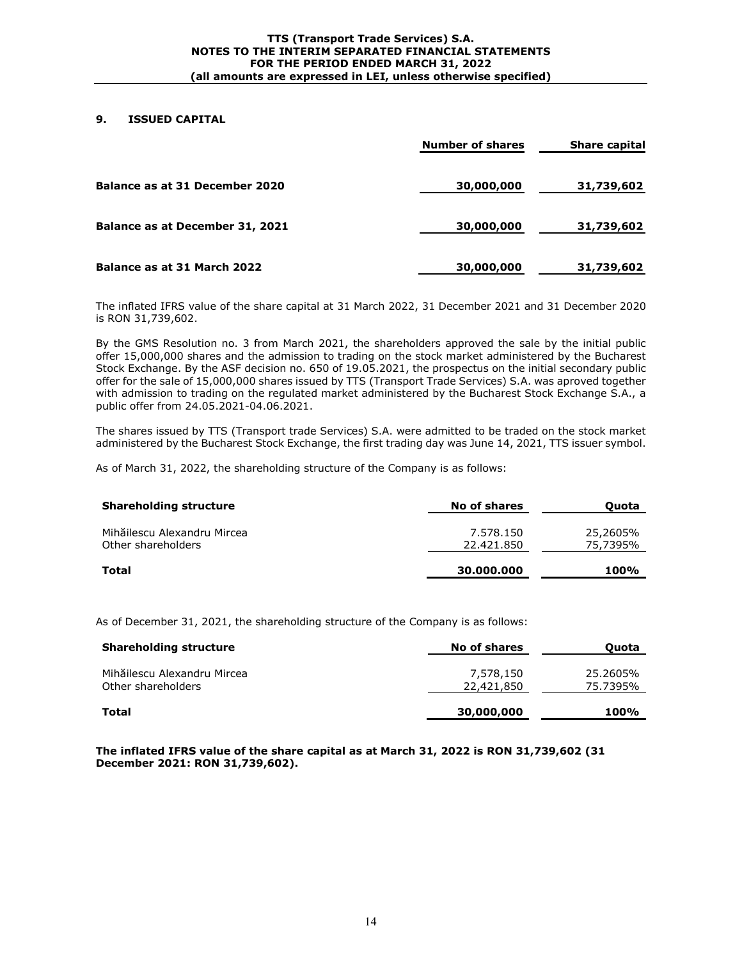# **9. ISSUED CAPITAL**

|                                 | <b>Number of shares</b> | <b>Share capital</b> |
|---------------------------------|-------------------------|----------------------|
| Balance as at 31 December 2020  | 30,000,000              | 31,739,602           |
| Balance as at December 31, 2021 | 30,000,000              | 31,739,602           |
| Balance as at 31 March 2022     | 30,000,000              | 31,739,602           |

The inflated IFRS value of the share capital at 31 March 2022, 31 December 2021 and 31 December 2020 is RON 31,739,602.

By the GMS Resolution no. 3 from March 2021, the shareholders approved the sale by the initial public offer 15,000,000 shares and the admission to trading on the stock market administered by the Bucharest Stock Exchange. By the ASF decision no. 650 of 19.05.2021, the prospectus on the initial secondary public offer for the sale of 15,000,000 shares issued by TTS (Transport Trade Services) S.A. was aproved together with admission to trading on the regulated market administered by the Bucharest Stock Exchange S.A., a public offer from 24.05.2021-04.06.2021.

The shares issued by TTS (Transport trade Services) S.A. were admitted to be traded on the stock market administered by the Bucharest Stock Exchange, the first trading day was June 14, 2021, TTS issuer symbol.

As of March 31, 2022, the shareholding structure of the Company is as follows:

| <b>Shareholding structure</b>                     | No of shares            | Quota                |  |
|---------------------------------------------------|-------------------------|----------------------|--|
| Mihăilescu Alexandru Mircea<br>Other shareholders | 7.578.150<br>22.421.850 | 25,2605%<br>75,7395% |  |
| Total                                             | 30,000,000              | 100%                 |  |

As of December 31, 2021, the shareholding structure of the Company is as follows:

| <b>Shareholding structure</b>                     | No of shares            | Ouota                |  |
|---------------------------------------------------|-------------------------|----------------------|--|
| Mihăilescu Alexandru Mircea<br>Other shareholders | 7,578,150<br>22,421,850 | 25.2605%<br>75.7395% |  |
| <b>Total</b>                                      | 30,000,000              | 100%                 |  |

**The inflated IFRS value of the share capital as at March 31, 2022 is RON 31,739,602 (31 December 2021: RON 31,739,602).**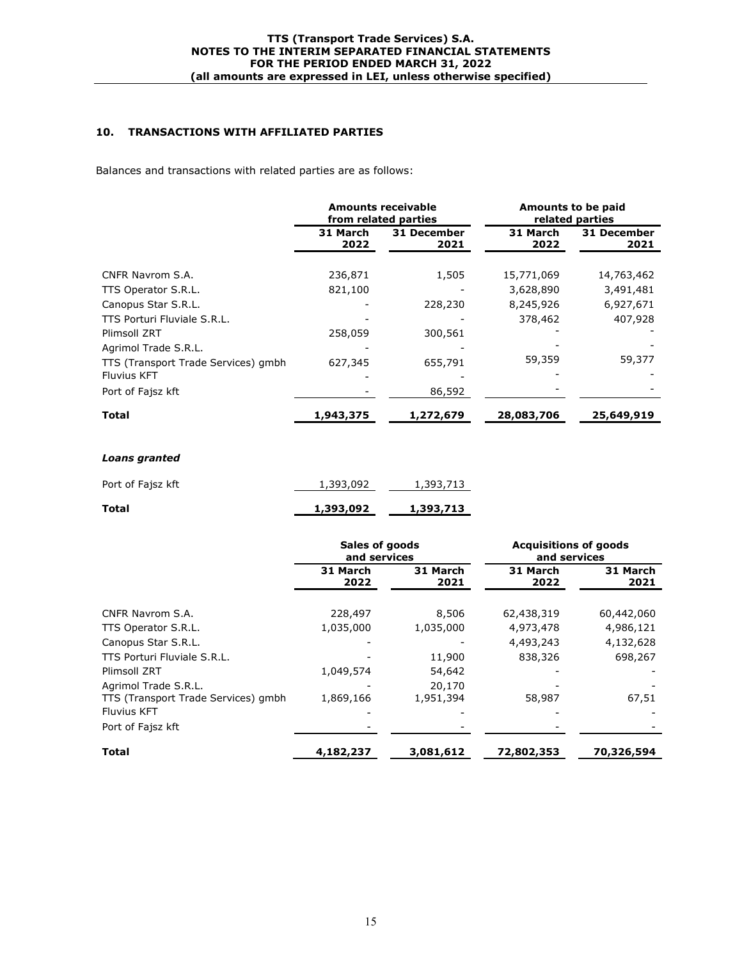# **10. TRANSACTIONS WITH AFFILIATED PARTIES**

Balances and transactions with related parties are as follows:

|                                                           | <b>Amounts receivable</b><br>from related parties |                     | Amounts to be paid<br>related parties |                        |
|-----------------------------------------------------------|---------------------------------------------------|---------------------|---------------------------------------|------------------------|
|                                                           | 31 March<br>2022                                  | 31 December<br>2021 | 31 March<br>2022                      | 31 December<br>2021    |
| CNFR Navrom S.A.                                          | 236,871                                           | 1,505               | 15,771,069                            | 14,763,462             |
| TTS Operator S.R.L.<br>Canopus Star S.R.L.                | 821,100                                           | 228,230             | 3,628,890<br>8,245,926                | 3,491,481<br>6,927,671 |
| TTS Porturi Fluviale S.R.L.<br>Plimsoll ZRT               | 258,059                                           | 300,561             | 378,462                               | 407,928                |
| Agrimol Trade S.R.L.                                      |                                                   |                     |                                       |                        |
| TTS (Transport Trade Services) gmbh<br><b>Fluvius KFT</b> | 627,345                                           | 655,791             | 59,359                                | 59,377                 |
| Port of Fajsz kft                                         |                                                   | 86,592              |                                       |                        |
| Total                                                     | 1,943,375                                         | 1,272,679           | 28,083,706                            | 25,649,919             |

## *Loans granted*

| Total             | 1,393,092 | 1,393,713 |
|-------------------|-----------|-----------|
| Port of Fajsz kft | 1,393,092 | 1,393,713 |

|                                                                                   | Sales of goods<br>and services |                     | <b>Acquisitions of goods</b><br>and services |                  |
|-----------------------------------------------------------------------------------|--------------------------------|---------------------|----------------------------------------------|------------------|
|                                                                                   | 31 March<br>2022               | 31 March<br>2021    | 31 March<br>2022                             | 31 March<br>2021 |
| CNFR Navrom S.A.                                                                  | 228,497                        | 8,506               | 62,438,319                                   | 60,442,060       |
| TTS Operator S.R.L.                                                               | 1,035,000                      | 1,035,000           | 4,973,478                                    | 4,986,121        |
| Canopus Star S.R.L.                                                               |                                |                     | 4,493,243                                    | 4,132,628        |
| TTS Porturi Fluviale S.R.L.                                                       |                                | 11,900              | 838,326                                      | 698,267          |
| Plimsoll ZRT                                                                      | 1,049,574                      | 54,642              |                                              |                  |
| Agrimol Trade S.R.L.<br>TTS (Transport Trade Services) gmbh<br><b>Fluvius KFT</b> | 1,869,166                      | 20,170<br>1,951,394 | 58,987                                       | 67,51            |
| Port of Fajsz kft                                                                 |                                |                     |                                              |                  |
| <b>Total</b>                                                                      | 4,182,237                      | 3,081,612           | 72,802,353                                   | 70,326,594       |